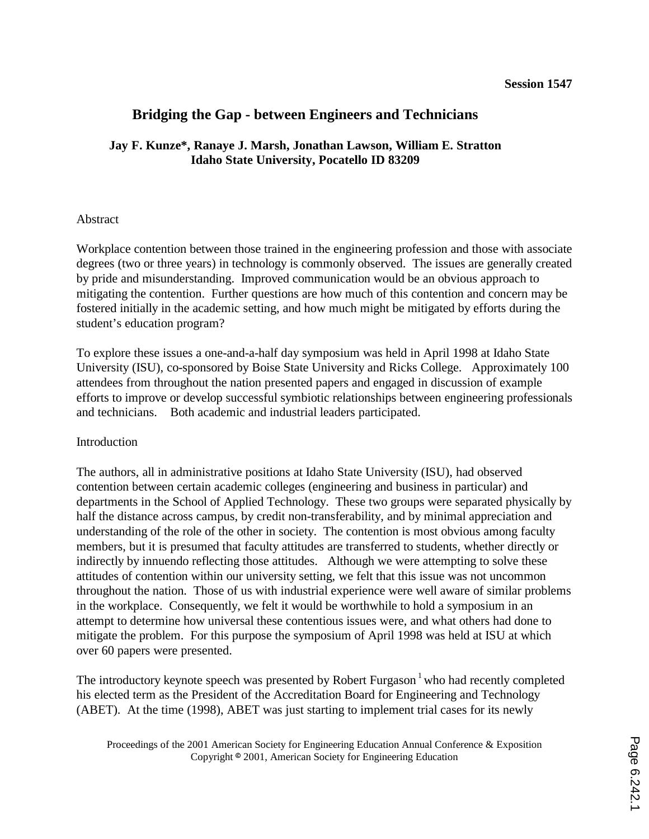# **Bridging the Gap - between Engineers and Technicians**

## **Jay F. Kunze\*, Ranaye J. Marsh, Jonathan Lawson, William E. Stratton Idaho State University, Pocatello ID 83209**

## Abstract

Workplace contention between those trained in the engineering profession and those with associate degrees (two or three years) in technology is commonly observed. The issues are generally created by pride and misunderstanding. Improved communication would be an obvious approach to mitigating the contention. Further questions are how much of this contention and concern may be fostered initially in the academic setting, and how much might be mitigated by efforts during the student's education program?

To explore these issues a one-and-a-half day symposium was held in April 1998 at Idaho State University (ISU), co-sponsored by Boise State University and Ricks College. Approximately 100 attendees from throughout the nation presented papers and engaged in discussion of example efforts to improve or develop successful symbiotic relationships between engineering professionals and technicians. Both academic and industrial leaders participated.

## Introduction

The authors, all in administrative positions at Idaho State University (ISU), had observed contention between certain academic colleges (engineering and business in particular) and departments in the School of Applied Technology. These two groups were separated physically by half the distance across campus, by credit non-transferability, and by minimal appreciation and understanding of the role of the other in society. The contention is most obvious among faculty members, but it is presumed that faculty attitudes are transferred to students, whether directly or indirectly by innuendo reflecting those attitudes. Although we were attempting to solve these attitudes of contention within our university setting, we felt that this issue was not uncommon throughout the nation. Those of us with industrial experience were well aware of similar problems in the workplace. Consequently, we felt it would be worthwhile to hold a symposium in an attempt to determine how universal these contentious issues were, and what others had done to mitigate the problem. For this purpose the symposium of April 1998 was held at ISU at which over 60 papers were presented.

The introductory keynote speech was presented by Robert Furgason<sup> $1$ </sup> who had recently completed his elected term as the President of the Accreditation Board for Engineering and Technology (ABET). At the time (1998), ABET was just starting to implement trial cases for its newly

Proceedings of the 2001 American Society for Engineering Education Annual Conference & Exposition Copyright <sup>©</sup> 2001, American Society for Engineering Education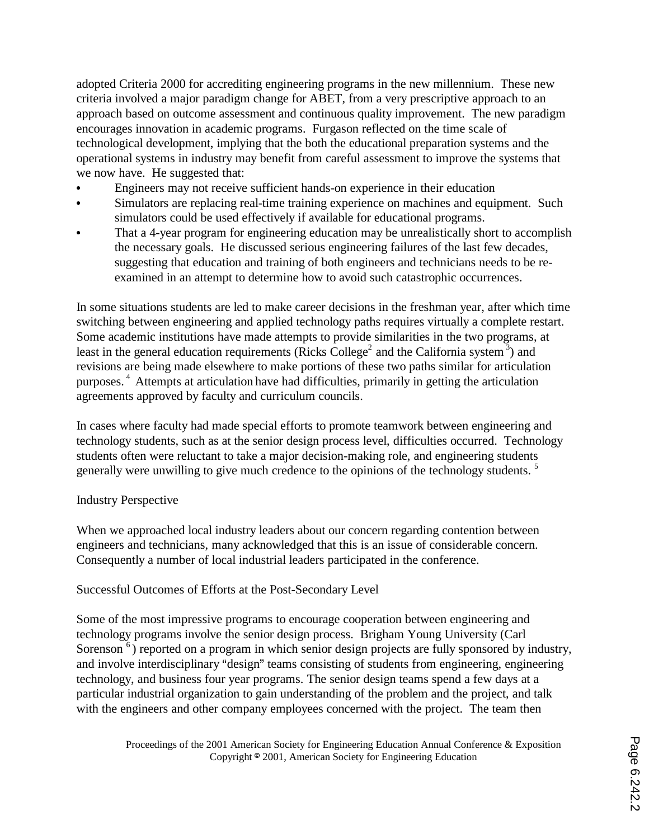adopted Criteria 2000 for accrediting engineering programs in the new millennium. These new criteria involved a major paradigm change for ABET, from a very prescriptive approach to an approach based on outcome assessment and continuous quality improvement. The new paradigm encourages innovation in academic programs. Furgason reflected on the time scale of technological development, implying that the both the educational preparation systems and the operational systems in industry may benefit from careful assessment to improve the systems that we now have. He suggested that:

- Engineers may not receive sufficient hands-on experience in their education
- Simulators are replacing real-time training experience on machines and equipment. Such simulators could be used effectively if available for educational programs.
- That a 4-year program for engineering education may be unrealistically short to accomplish the necessary goals. He discussed serious engineering failures of the last few decades, suggesting that education and training of both engineers and technicians needs to be reexamined in an attempt to determine how to avoid such catastrophic occurrences.

In some situations students are led to make career decisions in the freshman year, after which time switching between engineering and applied technology paths requires virtually a complete restart. Some academic institutions have made attempts to provide similarities in the two programs, at least in the general education requirements (Ricks College<sup>2</sup> and the California system  $\frac{3}{2}$ ) and revisions are being made elsewhere to make portions of these two paths similar for articulation purposes. 4 Attempts at articulation have had difficulties, primarily in getting the articulation agreements approved by faculty and curriculum councils.

In cases where faculty had made special efforts to promote teamwork between engineering and technology students, such as at the senior design process level, difficulties occurred. Technology students often were reluctant to take a major decision-making role, and engineering students generally were unwilling to give much credence to the opinions of the technology students.<sup>5</sup>

## Industry Perspective

When we approached local industry leaders about our concern regarding contention between engineers and technicians, many acknowledged that this is an issue of considerable concern. Consequently a number of local industrial leaders participated in the conference.

Successful Outcomes of Efforts at the Post-Secondary Level

Some of the most impressive programs to encourage cooperation between engineering and technology programs involve the senior design process. Brigham Young University (Carl Sorenson <sup>6</sup>) reported on a program in which senior design projects are fully sponsored by industry, and involve interdisciplinary "design" teams consisting of students from engineering, engineering technology, and business four year programs. The senior design teams spend a few days at a particular industrial organization to gain understanding of the problem and the project, and talk with the engineers and other company employees concerned with the project. The team then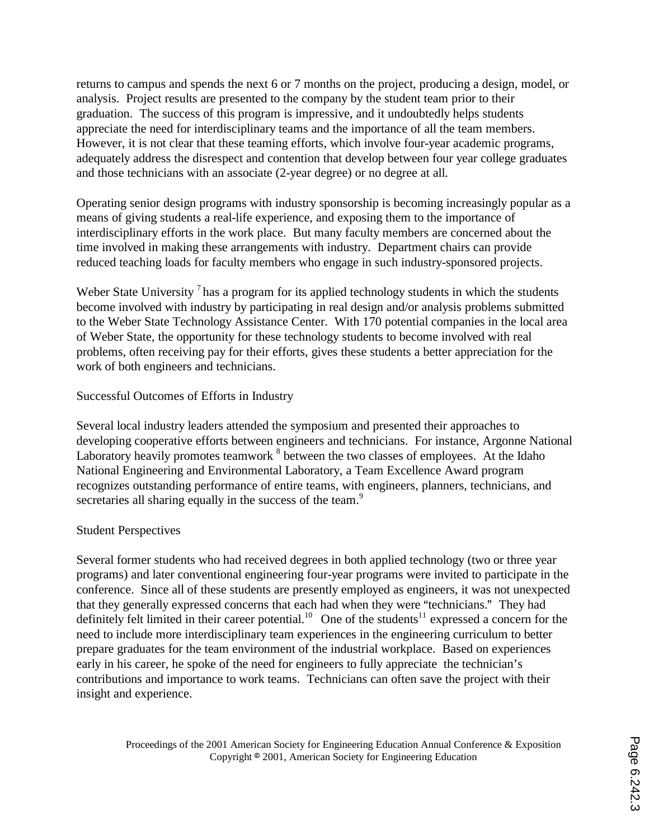returns to campus and spends the next 6 or 7 months on the project, producing a design, model, or analysis. Project results are presented to the company by the student team prior to their graduation. The success of this program is impressive, and it undoubtedly helps students appreciate the need for interdisciplinary teams and the importance of all the team members. However, it is not clear that these teaming efforts, which involve four-year academic programs, adequately address the disrespect and contention that develop between four year college graduates and those technicians with an associate (2-year degree) or no degree at all.

Operating senior design programs with industry sponsorship is becoming increasingly popular as a means of giving students a real-life experience, and exposing them to the importance of interdisciplinary efforts in the work place. But many faculty members are concerned about the time involved in making these arrangements with industry. Department chairs can provide reduced teaching loads for faculty members who engage in such industry-sponsored projects.

Weber State University<sup>7</sup> has a program for its applied technology students in which the students become involved with industry by participating in real design and/or analysis problems submitted to the Weber State Technology Assistance Center. With 170 potential companies in the local area of Weber State, the opportunity for these technology students to become involved with real problems, often receiving pay for their efforts, gives these students a better appreciation for the work of both engineers and technicians.

## Successful Outcomes of Efforts in Industry

Several local industry leaders attended the symposium and presented their approaches to developing cooperative efforts between engineers and technicians. For instance, Argonne National Laboratory heavily promotes teamwork  $^8$  between the two classes of employees. At the Idaho National Engineering and Environmental Laboratory, a Team Excellence Award program recognizes outstanding performance of entire teams, with engineers, planners, technicians, and secretaries all sharing equally in the success of the team.<sup>9</sup>

## Student Perspectives

Several former students who had received degrees in both applied technology (two or three year programs) and later conventional engineering four-year programs were invited to participate in the conference. Since all of these students are presently employed as engineers, it was not unexpected that they generally expressed concerns that each had when they were "technicians." They had definitely felt limited in their career potential.<sup>10</sup> One of the students<sup>11</sup> expressed a concern for the need to include more interdisciplinary team experiences in the engineering curriculum to better prepare graduates for the team environment of the industrial workplace. Based on experiences early in his career, he spoke of the need for engineers to fully appreciate the technician's contributions and importance to work teams. Technicians can often save the project with their insight and experience.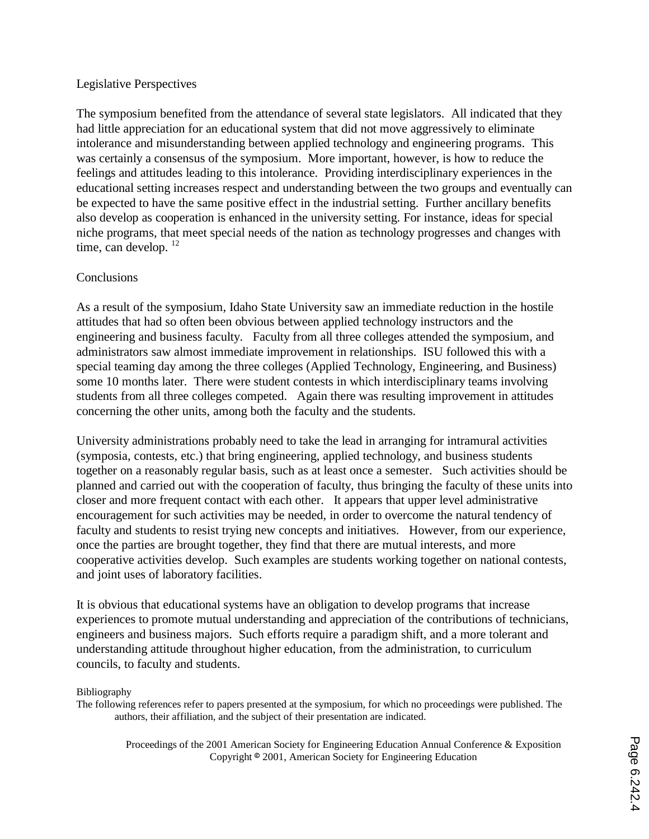## Legislative Perspectives

The symposium benefited from the attendance of several state legislators. All indicated that they had little appreciation for an educational system that did not move aggressively to eliminate intolerance and misunderstanding between applied technology and engineering programs. This was certainly a consensus of the symposium. More important, however, is how to reduce the feelings and attitudes leading to this intolerance. Providing interdisciplinary experiences in the educational setting increases respect and understanding between the two groups and eventually can be expected to have the same positive effect in the industrial setting. Further ancillary benefits also develop as cooperation is enhanced in the university setting. For instance, ideas for special niche programs, that meet special needs of the nation as technology progresses and changes with time, can develop.  $12$ 

## **Conclusions**

As a result of the symposium, Idaho State University saw an immediate reduction in the hostile attitudes that had so often been obvious between applied technology instructors and the engineering and business faculty. Faculty from all three colleges attended the symposium, and administrators saw almost immediate improvement in relationships. ISU followed this with a special teaming day among the three colleges (Applied Technology, Engineering, and Business) some 10 months later. There were student contests in which interdisciplinary teams involving students from all three colleges competed. Again there was resulting improvement in attitudes concerning the other units, among both the faculty and the students.

University administrations probably need to take the lead in arranging for intramural activities (symposia, contests, etc.) that bring engineering, applied technology, and business students together on a reasonably regular basis, such as at least once a semester. Such activities should be planned and carried out with the cooperation of faculty, thus bringing the faculty of these units into closer and more frequent contact with each other. It appears that upper level administrative encouragement for such activities may be needed, in order to overcome the natural tendency of faculty and students to resist trying new concepts and initiatives. However, from our experience, once the parties are brought together, they find that there are mutual interests, and more cooperative activities develop. Such examples are students working together on national contests, and joint uses of laboratory facilities.

It is obvious that educational systems have an obligation to develop programs that increase experiences to promote mutual understanding and appreciation of the contributions of technicians, engineers and business majors. Such efforts require a paradigm shift, and a more tolerant and understanding attitude throughout higher education, from the administration, to curriculum councils, to faculty and students.

#### Bibliography

The following references refer to papers presented at the symposium, for which no proceedings were published. The authors, their affiliation, and the subject of their presentation are indicated.

> Proceedings of the 2001 American Society for Engineering Education Annual Conference & Exposition Copyright <sup>©</sup> 2001, American Society for Engineering Education